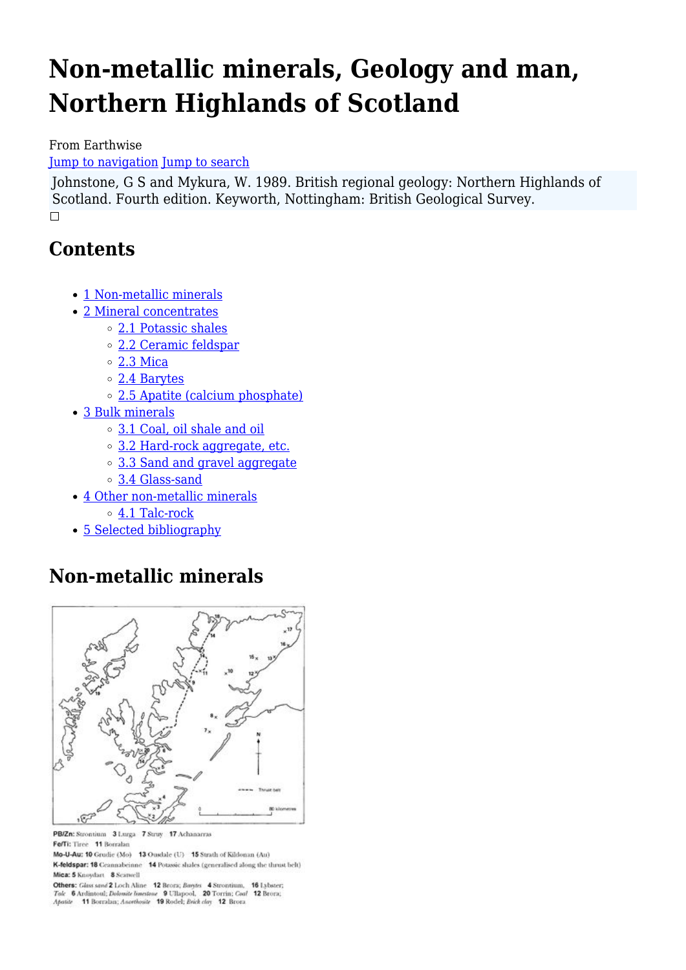# **Non-metallic minerals, Geology and man, Northern Highlands of Scotland**

From Earthwise

[Jump to navigation](#page--1-0) [Jump to search](#page--1-0)

Johnstone, G S and Mykura, W. 1989. British regional geology: Northern Highlands of Scotland. Fourth edition. Keyworth, Nottingham: British Geological Survey.  $\Box$ 

# **Contents**

- [1](#page--1-0) [Non-metallic minerals](#page--1-0)
- [2](#page--1-0) [Mineral concentrates](#page--1-0)
	- [2.1](#page--1-0) [Potassic shales](#page--1-0)
	- [2.2](#page--1-0) [Ceramic feldspar](#page--1-0)
	- $\circ$  [2.3](#page--1-0) [Mica](#page--1-0)
	- [2.4](#page--1-0) [Barytes](#page--1-0)
	- [2.5](#Apatite_.28calcium_phosphate.29) [Apatite \(calcium phosphate\)](#Apatite_.28calcium_phosphate.29)
- [3](#page--1-0) [Bulk minerals](#page--1-0)
	- [3.1](#Coal.2C_oil_shale_and_oil) [Coal, oil shale and oil](#Coal.2C_oil_shale_and_oil)
	- [3.2](#Hard-rock_aggregate.2C_etc.) [Hard-rock aggregate, etc.](#Hard-rock_aggregate.2C_etc.)
	- [3.3](#page--1-0) [Sand and gravel aggregate](#page--1-0)
	- [3.4](#page--1-0) [Glass-sand](#page--1-0)
- [4](#page--1-0) [Other non-metallic minerals](#page--1-0)
	- [4.1](#page--1-0) [Talc-rock](#page--1-0)
- [5](#page--1-0) [Selected bibliography](#page--1-0)

# **Non-metallic minerals**



PB/Zn: Strontium 3 Lurga 7 Struy 17 Achanarras Fe/Ti: Tiree 11 Borralan Mo-U-Au: 10 Grudie (Mo) 13 Onsdale (U) 15 Strath of Kildonan (Au) K-feldspar: 18 Ceannabeinne 14 Potassic shales (generalised along the thrust belt) Mica: 5 Knoydart 8 Scanoell **Others:** Glass sand  $2$  Loch Aline  $12$  Broru; Baytes  $4$  Strontium,  $16$  Lybster;  $Tok$   $6$  Ardintoul; *Delemite Imastene*  $9$  Ullapool,  $20$  Torrin; *Ceal*  $12$  Brora; *Apatite*  $11$  Borralan; *Anorthesite*  $19$  Rodel;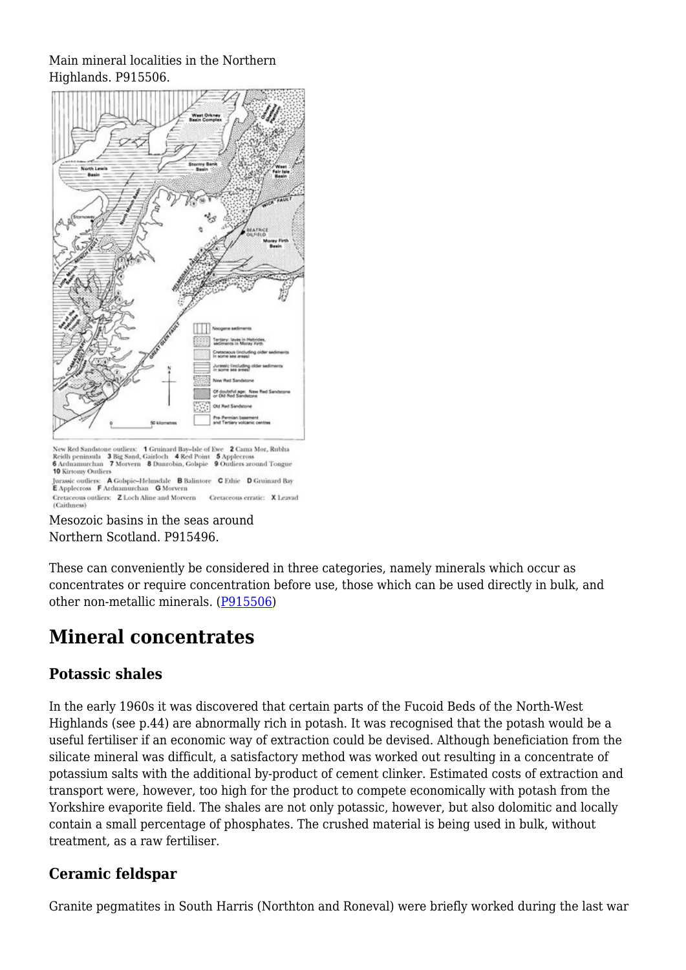#### Main mineral localities in the Northern Highlands. P915506.



Cretaceous outliers: Z Loch Aline and Morvern Cretaceous erratic: X Leavad (Caithmess)

Mesozoic basins in the seas around Northern Scotland. P915496.

These can conveniently be considered in three categories, namely minerals which occur as concentrates or require concentration before use, those which can be used directly in bulk, and other non-metallic minerals. ([P915506](http://earthwise.bgs.ac.uk/images/8/87/P915506.jpg))

### **Mineral concentrates**

#### **Potassic shales**

In the early 1960s it was discovered that certain parts of the Fucoid Beds of the North-West Highlands (see p.44) are abnormally rich in potash. It was recognised that the potash would be a useful fertiliser if an economic way of extraction could be devised. Although beneficiation from the silicate mineral was difficult, a satisfactory method was worked out resulting in a concentrate of potassium salts with the additional by-product of cement clinker. Estimated costs of extraction and transport were, however, too high for the product to compete economically with potash from the Yorkshire evaporite field. The shales are not only potassic, however, but also dolomitic and locally contain a small percentage of phosphates. The crushed material is being used in bulk, without treatment, as a raw fertiliser.

#### **Ceramic feldspar**

Granite pegmatites in South Harris (Northton and Roneval) were briefly worked during the last war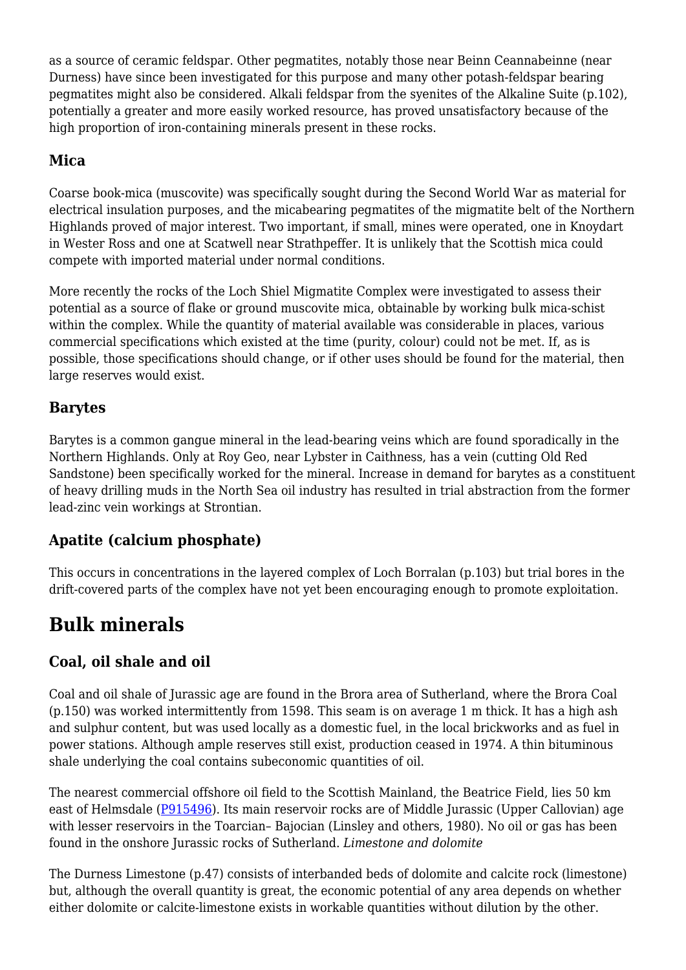as a source of ceramic feldspar. Other pegmatites, notably those near Beinn Ceannabeinne (near Durness) have since been investigated for this purpose and many other potash-feldspar bearing pegmatites might also be considered. Alkali feldspar from the syenites of the Alkaline Suite (p.102), potentially a greater and more easily worked resource, has proved unsatisfactory because of the high proportion of iron-containing minerals present in these rocks.

#### **Mica**

Coarse book-mica (muscovite) was specifically sought during the Second World War as material for electrical insulation purposes, and the micabearing pegmatites of the migmatite belt of the Northern Highlands proved of major interest. Two important, if small, mines were operated, one in Knoydart in Wester Ross and one at Scatwell near Strathpeffer. It is unlikely that the Scottish mica could compete with imported material under normal conditions.

More recently the rocks of the Loch Shiel Migmatite Complex were investigated to assess their potential as a source of flake or ground muscovite mica, obtainable by working bulk mica-schist within the complex. While the quantity of material available was considerable in places, various commercial specifications which existed at the time (purity, colour) could not be met. If, as is possible, those specifications should change, or if other uses should be found for the material, then large reserves would exist.

#### **Barytes**

Barytes is a common gangue mineral in the lead-bearing veins which are found sporadically in the Northern Highlands. Only at Roy Geo, near Lybster in Caithness, has a vein (cutting Old Red Sandstone) been specifically worked for the mineral. Increase in demand for barytes as a constituent of heavy drilling muds in the North Sea oil industry has resulted in trial abstraction from the former lead-zinc vein workings at Strontian.

#### **Apatite (calcium phosphate)**

This occurs in concentrations in the layered complex of Loch Borralan (p.103) but trial bores in the drift-covered parts of the complex have not yet been encouraging enough to promote exploitation.

# **Bulk minerals**

#### **Coal, oil shale and oil**

Coal and oil shale of Jurassic age are found in the Brora area of Sutherland, where the Brora Coal (p.150) was worked intermittently from 1598. This seam is on average 1 m thick. It has a high ash and sulphur content, but was used locally as a domestic fuel, in the local brickworks and as fuel in power stations. Although ample reserves still exist, production ceased in 1974. A thin bituminous shale underlying the coal contains subeconomic quantities of oil.

The nearest commercial offshore oil field to the Scottish Mainland, the Beatrice Field, lies 50 km east of Helmsdale ([P915496](http://earthwise.bgs.ac.uk/images/e/ef/P915496.jpg)). Its main reservoir rocks are of Middle Jurassic (Upper Callovian) age with lesser reservoirs in the Toarcian– Bajocian (Linsley and others, 1980). No oil or gas has been found in the onshore Jurassic rocks of Sutherland. *Limestone and dolomite*

The Durness Limestone (p.47) consists of interbanded beds of dolomite and calcite rock (limestone) but, although the overall quantity is great, the economic potential of any area depends on whether either dolomite or calcite-limestone exists in workable quantities without dilution by the other.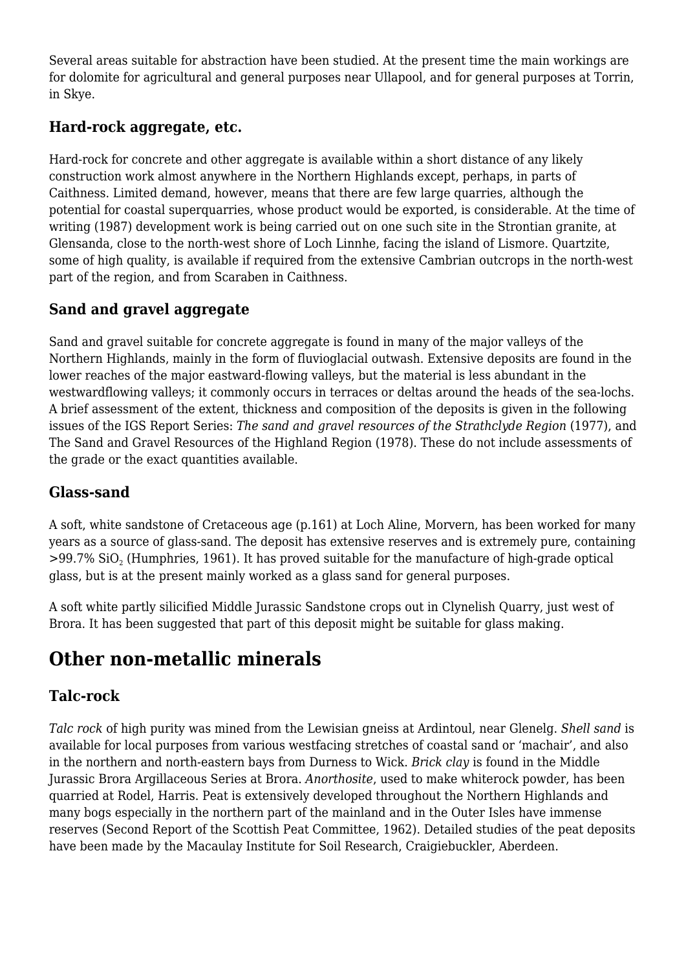Several areas suitable for abstraction have been studied. At the present time the main workings are for dolomite for agricultural and general purposes near Ullapool, and for general purposes at Torrin, in Skye.

#### **Hard-rock aggregate, etc.**

Hard-rock for concrete and other aggregate is available within a short distance of any likely construction work almost anywhere in the Northern Highlands except, perhaps, in parts of Caithness. Limited demand, however, means that there are few large quarries, although the potential for coastal superquarries, whose product would be exported, is considerable. At the time of writing (1987) development work is being carried out on one such site in the Strontian granite, at Glensanda, close to the north-west shore of Loch Linnhe, facing the island of Lismore. Quartzite, some of high quality, is available if required from the extensive Cambrian outcrops in the north-west part of the region, and from Scaraben in Caithness.

#### **Sand and gravel aggregate**

Sand and gravel suitable for concrete aggregate is found in many of the major valleys of the Northern Highlands, mainly in the form of fluvioglacial outwash. Extensive deposits are found in the lower reaches of the major eastward-flowing valleys, but the material is less abundant in the westwardflowing valleys; it commonly occurs in terraces or deltas around the heads of the sea-lochs. A brief assessment of the extent, thickness and composition of the deposits is given in the following issues of the IGS Report Series: *The sand and gravel resources of the Strathclyde Region* (1977), and The Sand and Gravel Resources of the Highland Region (1978). These do not include assessments of the grade or the exact quantities available.

#### **Glass-sand**

A soft, white sandstone of Cretaceous age (p.161) at Loch Aline, Morvern, has been worked for many years as a source of glass-sand. The deposit has extensive reserves and is extremely pure, containing  $>$ 99.7% SiO $_{\rm 2}$  (Humphries, 1961). It has proved suitable for the manufacture of high-grade optical glass, but is at the present mainly worked as a glass sand for general purposes.

A soft white partly silicified Middle Jurassic Sandstone crops out in Clynelish Quarry, just west of Brora. It has been suggested that part of this deposit might be suitable for glass making.

### **Other non-metallic minerals**

#### **Talc-rock**

*Talc rock* of high purity was mined from the Lewisian gneiss at Ardintoul, near Glenelg. *Shell sand* is available for local purposes from various westfacing stretches of coastal sand or 'machair', and also in the northern and north-eastern bays from Durness to Wick. *Brick clay* is found in the Middle Jurassic Brora Argillaceous Series at Brora. *Anorthosite*, used to make whiterock powder, has been quarried at Rodel, Harris. Peat is extensively developed throughout the Northern Highlands and many bogs especially in the northern part of the mainland and in the Outer Isles have immense reserves (Second Report of the Scottish Peat Committee, 1962). Detailed studies of the peat deposits have been made by the Macaulay Institute for Soil Research, Craigiebuckler, Aberdeen.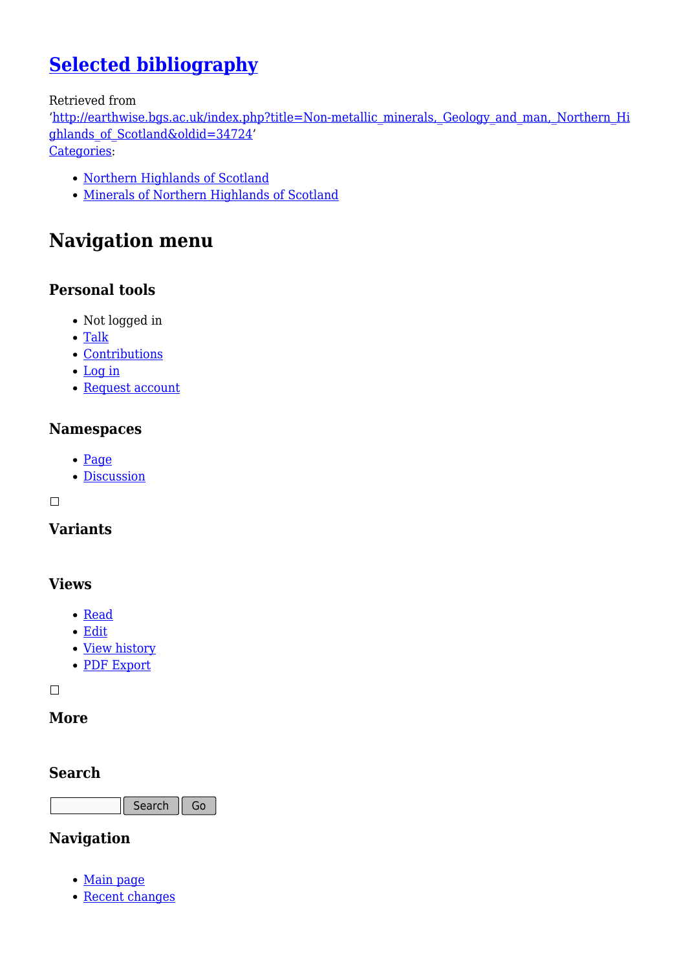# **[Selected bibliography](http://earthwise.bgs.ac.uk/index.php/Selected_bibliography,_Northern_Highlands_of_Scotland)**

Retrieved from

'[http://earthwise.bgs.ac.uk/index.php?title=Non-metallic\\_minerals,\\_Geology\\_and\\_man,\\_Northern\\_Hi](http://earthwise.bgs.ac.uk/index.php?title=Non-metallic_minerals,_Geology_and_man,_Northern_Highlands_of_Scotland&oldid=34724) [ghlands\\_of\\_Scotland&oldid=34724](http://earthwise.bgs.ac.uk/index.php?title=Non-metallic_minerals,_Geology_and_man,_Northern_Highlands_of_Scotland&oldid=34724)' [Categories:](http://earthwise.bgs.ac.uk/index.php/Special:Categories)

• [Northern Highlands of Scotland](http://earthwise.bgs.ac.uk/index.php/Category:Northern_Highlands_of_Scotland)

• [Minerals of Northern Highlands of Scotland](http://earthwise.bgs.ac.uk/index.php/Category:Minerals_of_Northern_Highlands_of_Scotland)

# **Navigation menu**

#### **Personal tools**

- Not logged in
- [Talk](http://earthwise.bgs.ac.uk/index.php/Special:MyTalk)
- [Contributions](http://earthwise.bgs.ac.uk/index.php/Special:MyContributions)
- [Log in](http://earthwise.bgs.ac.uk/index.php?title=Special:UserLogin&returnto=Non-metallic+minerals%2C+Geology+and+man%2C+Northern+Highlands+of+Scotland&returntoquery=action%3Dmpdf)
- [Request account](http://earthwise.bgs.ac.uk/index.php/Special:RequestAccount)

#### **Namespaces**

- [Page](http://earthwise.bgs.ac.uk/index.php/Non-metallic_minerals,_Geology_and_man,_Northern_Highlands_of_Scotland)
- [Discussion](http://earthwise.bgs.ac.uk/index.php?title=Talk:Non-metallic_minerals,_Geology_and_man,_Northern_Highlands_of_Scotland&action=edit&redlink=1)

 $\Box$ 

#### **Variants**

#### **Views**

- [Read](http://earthwise.bgs.ac.uk/index.php/Non-metallic_minerals,_Geology_and_man,_Northern_Highlands_of_Scotland)
- [Edit](http://earthwise.bgs.ac.uk/index.php?title=Non-metallic_minerals,_Geology_and_man,_Northern_Highlands_of_Scotland&action=edit)
- [View history](http://earthwise.bgs.ac.uk/index.php?title=Non-metallic_minerals,_Geology_and_man,_Northern_Highlands_of_Scotland&action=history)
- [PDF Export](http://earthwise.bgs.ac.uk/index.php?title=Non-metallic_minerals,_Geology_and_man,_Northern_Highlands_of_Scotland&action=mpdf)

 $\Box$ 

#### **More**

#### **Search**

Search Go

#### **Navigation**

- [Main page](http://earthwise.bgs.ac.uk/index.php/Main_Page)
- [Recent changes](http://earthwise.bgs.ac.uk/index.php/Special:RecentChanges)